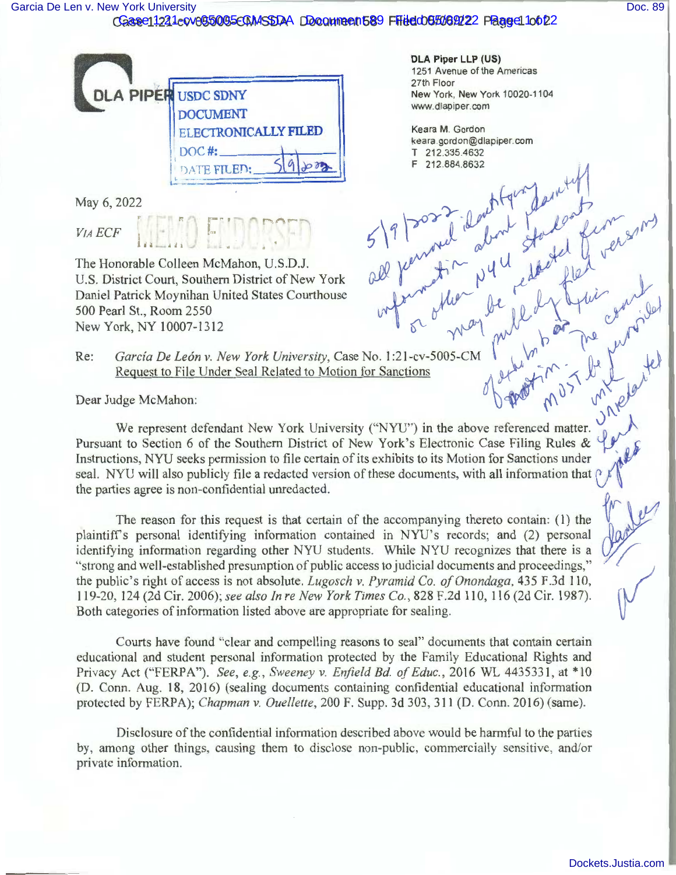## [Garcia De Len v. New York University](https://dockets.justia.com/docket/new-york/nysdce/1:2021cv05005/561506/) **[Doc. 89](https://docs.justia.com/cases/federal/district-courts/new-york/nysdce/1:2021cv05005/561506/89/)** November 2012 1: 10 November 2012 1: 10 November 2012 1: 10 November 2013

## 0Gase 1221 e 0 v 055055 ECM ASSTAA DD comment 689 Filied 05 506 922 Page e 1 0 6 22



' r • ,.. *r* 

May 6, 2022

VIA *ECF* 

The Honorable Colleen McMahon, U.S.D.J. U.S. District Court, Southern District of New York Daniel Patrick Moynihan United States Courthouse New York, NY 10007-1312 500 Pearl St., Room 2550

**DLA Piper LLP (US)**  1251 Avenue of the Americas 27th Floor New York, New York 10020-1104 www.dlapiper.com

Keara M. Gordon keara.gordon@dlapiper.com<br>T 212.335.4632 T 212.3354632 <sup>F</sup>**212.884.8632** , **,,411** 

Re: *Garcia De León v. New York University*, Case No. 1:21-cv-5005-CM<br>Request to File Under Seal Related to Motion for Sanctions Request to File Under Seal Related to Motion for Sanctions  $A H^*$ ;  $A H^*$ ,  $B H^*$ ,  $C$ ,  $C$ 

Dear Judge McMahon:  $0 \int \pi v^{3}$   $\pi v^{2} e^{j \theta}$ 

We represent defendant New York University ("NYU") in the above referenced matter. Pursuant to Section 6 of the Southern District of New York's Electronic Case Filing Rules & Instructions, NYU seeks permission to file certain of its exhibits to its Motion for Sanctions under seal. NYU will also publicly file a redacted version of these documents, with all information that  $\beta$ the parties agree is non-confidential unredacted.

The reason for this request is that certain of the accompanying thereto contain: (1) the plaintiff's personal identifying information contained in NYU's records; and (2) personal  $\sqrt{2}$ identifying information regarding other NYU students. While NYU recognizes that there is a " strong and well-established presumption of public access to judicial documents and proceedings," the public's right of access is not absolute. *Lugosch v. Pyramid Co. of Onondaga*, 435 F.3d 110, 119-20, 124 (2d Cir. 2006); *see also In re New York Times Co.,* 828 F.2d 110, 116 (2d Cir. 1987). Both categories of information listed above are appropriate for sealing.

Courts have found "clear and compelling reasons to seal" documents that contain certain educational and student personal information protected by the Family Educational Rights and Privacy Act ("FERPA"). *See, e.g., Sweeney v. Enfield Bd. of Educ.*, 2016 WL 4435331, at \*10 (D. Conn. Aug. 18, 2016) (sealing documents containing confidential educational information protected by FERPA); *Chapman v. Ouellette,* 200 F. Supp. 3d 303,311 (D. Conn. 2016) (same).

Disclosure of the confidential information described above would be harmful to the parties by, among other things, causing them to disclose non-public, commercially sensitive, and/or private information.